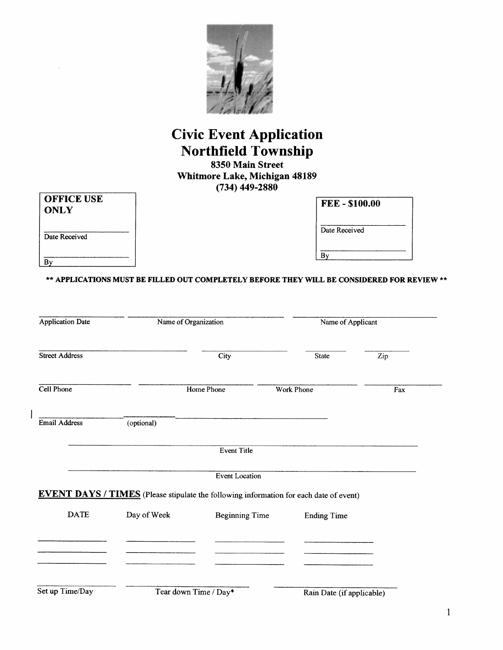

### **Civic Event Application Northfield Township**

8350 Main Street Whitmore Lake, Michigan 48189  $(734)$  449-2880

| OFFICE USE  |  |
|-------------|--|
| <b>ONLY</b> |  |
|             |  |

**FEE-\$100.00** 

Date Received

 $\overline{By}$ 

Date Received

 $\overline{By}$ 

 $\overline{\phantom{a}}$ 

\*\* APPLICATIONS MUST BE FILLED OUT COMPLETELY BEFORE THEY WILL BE CONSIDERED FOR REVIEW \*\*

| <b>Application Date</b> |             | Name of Organization                                                                          |                           | Name of Applicant |  |
|-------------------------|-------------|-----------------------------------------------------------------------------------------------|---------------------------|-------------------|--|
| <b>Street Address</b>   |             | City                                                                                          | <b>State</b>              | Zip               |  |
| Cell Phone              |             | Home Phone                                                                                    | <b>Work Phone</b>         | Fax               |  |
| <b>Email Address</b>    | (optional)  |                                                                                               |                           |                   |  |
|                         |             | Event Title                                                                                   |                           |                   |  |
|                         |             | <b>Event Location</b>                                                                         |                           |                   |  |
|                         |             | <b>EVENT DAYS / TIMES</b> (Please stipulate the following information for each date of event) |                           |                   |  |
| <b>DATE</b>             | Day of Week | <b>Beginning Time</b>                                                                         | <b>Ending Time</b>        |                   |  |
|                         |             |                                                                                               |                           |                   |  |
|                         |             |                                                                                               |                           |                   |  |
| Set up Time/Day         |             | Tear down Time / Day*                                                                         | Rain Date (if applicable) |                   |  |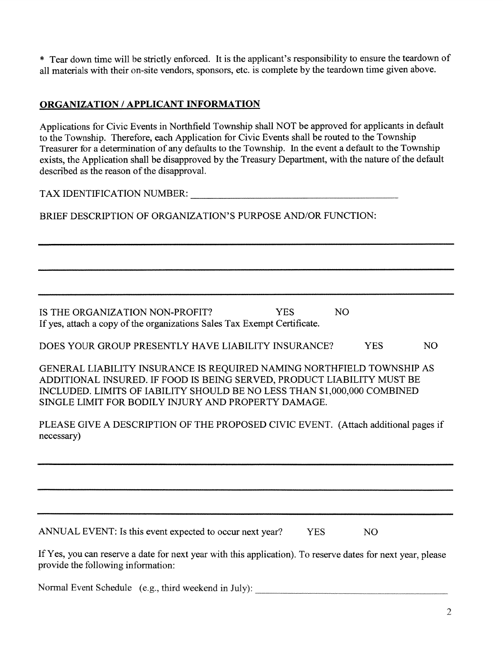\* Tear down time will be strictly enforced. It is the applicant's responsibility to ensure the teardown of all materials with their on-site vendors, sponsors, etc. is complete by the teardown time given above.

#### **ORGANIZATION / APPLICANT INFORMATION**

Applications for Civic Events in Northfield Township shall NOT be approved for applicants in default to the Township. Therefore, each Application for Civic Events shall be routed to the Township Treasurer for a determination of any defaults to the Township. In the event a default to the Township exists, the Application shall be disapproved by the Treasury Department, with the nature of the default described as the reason of the disapproval.

TAX IDENTIFICATION NUMBER: TAX IDENTIFICATION NUMBER:

BRIEF DESCRIPTION OF ORGANIZATION'S PURPOSE AND/OR FUNCTION:

IS THE ORGANIZATION NON-PROFIT? **YES** N<sub>O</sub> If yes, attach a copy of the organizations Sales Tax Exempt Certificate.

DOES YOUR GROUP PRESENTLY HAVE LIABILITY INSURANCE? **YES** NO<sub>1</sub>

GENERAL LIABILITY INSURANCE IS REQUIRED NAMING NORTHFIELD TOWNSHIP AS ADDITIONAL INSURED. IF FOOD IS BEING SERVED, PRODUCT LIABILITY MUST BE INCLUDED. LIMITS OF IABILITY SHOULD BE NO LESS THAN \$1,000,000 COMBINED SINGLE LIMIT FOR BODILY INJURY AND PROPERTY DAMAGE.

PLEASE GIVE A DESCRIPTION OF THE PROPOSED CIVIC EVENT. (Attach additional pages if necessary)

ANNUAL EVENT: Is this event expected to occur next year? **YES** N<sub>O</sub>

If Yes, you can reserve a date for next year with this application). To reserve dates for next year, please provide the following information:

Normal Event Schedule (e.g., third weekend in July):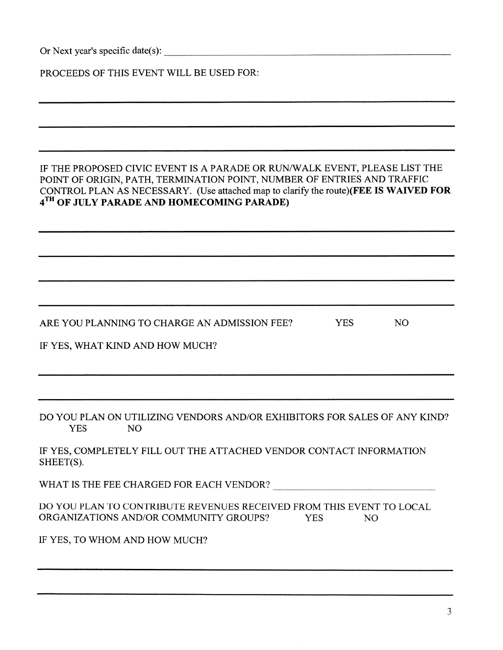| Or Next year's specific date(s): |  |  |
|----------------------------------|--|--|
|----------------------------------|--|--|

| PROCEEDS OF THIS EVENT WILL BE USED FOR: |  |  |
|------------------------------------------|--|--|
|------------------------------------------|--|--|

#### IF THE PROPOSED CIVIC EVENT IS A PARADE OR RUN/WALK EVENT, PLEASE LIST THE POINT OF ORIGIN, PATH, TERMINATION POINT, NUMBER OF ENTRIES AND TRAFFIC CONTROL PLAN AS NECESSARY. (Use attached map to clarify the route)(FEE IS WAIVED FOR 4<sup>TH</sup> OF JULY PARADE AND HOMECOMING PARADE)

ARE YOU PLANNING TO CHARGE AN ADMISSION FEE? **YES NO** 

IF YES, WHAT KIND AND HOW MUCH?

DO YOU PLAN ON UTILIZING VENDORS AND/OR EXHIBITORS FOR SALES OF ANY KIND? **YES** N<sub>O</sub>

IF YES, COMPLETELY FILL OUT THE ATTACHED VENDOR CONTACT INFORMATION SHEET(S).

WHAT IS THE FEE CHARGED FOR EACH VENDOR?

DO YOU PLAN TO CONTRIBUTE REVENUES RECEIVED FROM THIS EVENT TO LOCAL ORGANIZATIONS AND/OR COMMUNITY GROUPS? **YES** NO.

IF YES, TO WHOM AND HOW MUCH?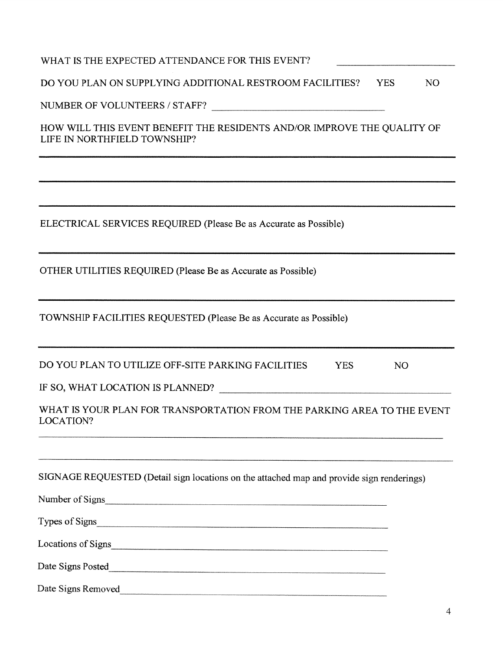| WHAT IS THE EXPECTED ATTENDANCE FOR THIS EVENT?                                                         |
|---------------------------------------------------------------------------------------------------------|
| DO YOU PLAN ON SUPPLYING ADDITIONAL RESTROOM FACILITIES? YES<br>N <sub>O</sub>                          |
| NUMBER OF VOLUNTEERS / STAFF?                                                                           |
| HOW WILL THIS EVENT BENEFIT THE RESIDENTS AND/OR IMPROVE THE QUALITY OF<br>LIFE IN NORTHFIELD TOWNSHIP? |
|                                                                                                         |
| ELECTRICAL SERVICES REQUIRED (Please Be as Accurate as Possible)                                        |
| OTHER UTILITIES REQUIRED (Please Be as Accurate as Possible)                                            |
| TOWNSHIP FACILITIES REQUESTED (Please Be as Accurate as Possible)                                       |
| DO YOU PLAN TO UTILIZE OFF-SITE PARKING FACILITIES<br><b>YES</b><br>N <sub>O</sub>                      |
|                                                                                                         |
| WHAT IS YOUR PLAN FOR TRANSPORTATION FROM THE PARKING AREA TO THE EVENT<br>LOCATION?                    |
| SIGNAGE REQUESTED (Detail sign locations on the attached map and provide sign renderings)               |
| Number of Signs                                                                                         |
| Types of Signs                                                                                          |
|                                                                                                         |
|                                                                                                         |
| Date Signs Removed                                                                                      |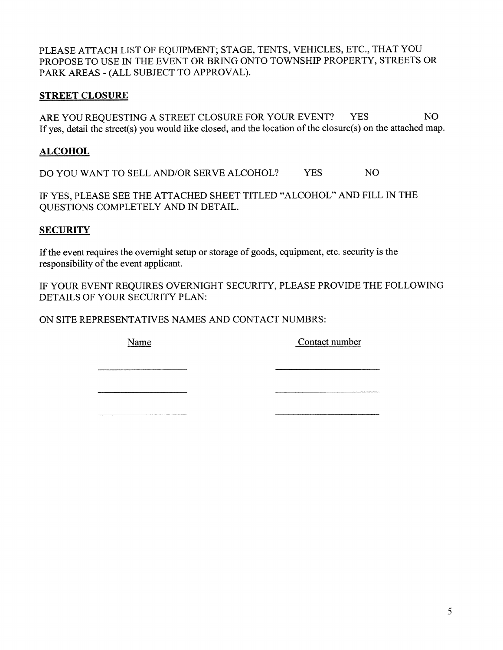PLEASE ATTACH LIST OF EQUIPMENT; STAGE, TENTS, VEHICLES, ETC., THAT YOU PROPOSE TO USE IN THE EVENT OR BRING ONTO TOWNSHIP PROPERTY, STREETS OR PARK AREAS - (ALL SUBJECT TO APPROVAL).

#### **STREET CLOSURE**

ARE YOU REQUESTING A STREET CLOSURE FOR YOUR EVENT? NO<sub>1</sub> **YES** If yes, detail the street(s) you would like closed, and the location of the closure(s) on the attached map.

#### **ALCOHOL**

DO YOU WANT TO SELL AND/OR SERVE ALCOHOL? **YES** NO<sub>1</sub>

IF YES, PLEASE SEE THE ATTACHED SHEET TITLED "ALCOHOL" AND FILL IN THE QUESTIONS COMPLETELY AND IN DETAIL.

#### **SECURITY**

If the event requires the overnight setup or storage of goods, equipment, etc. security is the responsibility of the event applicant.

IF YOUR EVENT REQUIRES OVERNIGHT SECURITY, PLEASE PROVIDE THE FOLLOWING DETAILS OF YOUR SECURITY PLAN:

ON SITE REPRESENTATIVES NAMES AND CONTACT NUMBRS:

Name

Contact number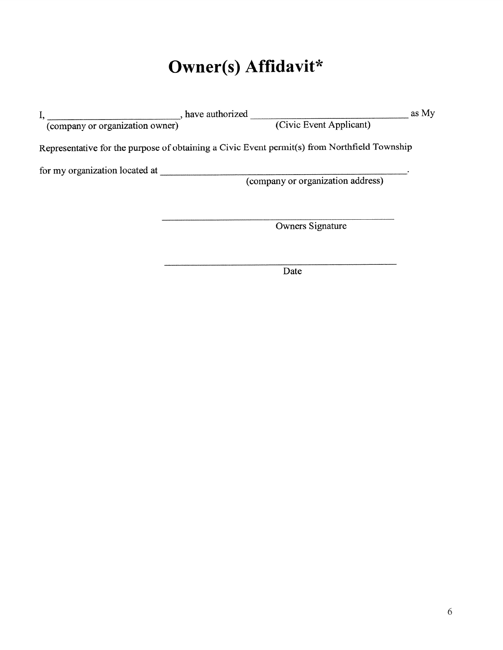# Owner(s) Affidavit\*

|                                 | have authorized                                                                              | as My |
|---------------------------------|----------------------------------------------------------------------------------------------|-------|
| (company or organization owner) | (Civic Event Applicant)                                                                      |       |
|                                 | Representative for the purpose of obtaining a Civic Event permit(s) from Northfield Township |       |
| for my organization located at  |                                                                                              |       |
|                                 | (company or organization address)                                                            |       |
|                                 |                                                                                              |       |
|                                 | Owners Signature                                                                             |       |
|                                 |                                                                                              |       |
|                                 | Date                                                                                         |       |
|                                 |                                                                                              |       |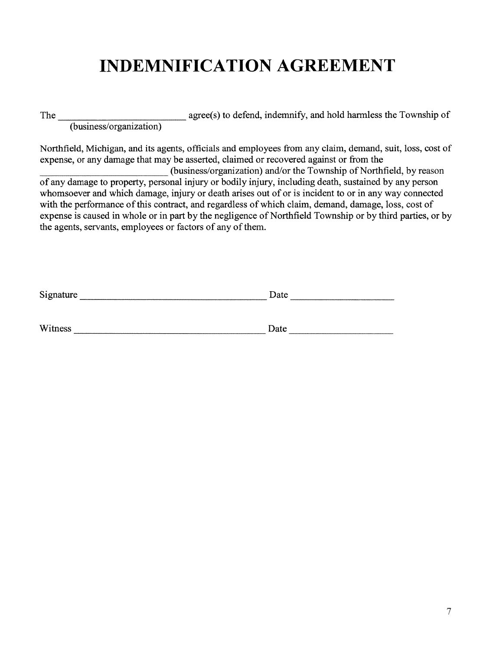### **INDEMNIFICATION AGREEMENT**

(business/organization) agree(s) to defend, indemnify, and hold harmless the Township of The

Northfield, Michigan, and its agents, officials and employees from any claim, demand, suit, loss, cost of expense, or any damage that may be asserted, claimed or recovered against or from the

(business/organization) and/or the Township of Northfield, by reason of any damage to property, personal injury or bodily injury, including death, sustained by any person whomsoever and which damage, injury or death arises out of or is incident to or in any way connected with the performance of this contract, and regardless of which claim, demand, damage, loss, cost of expense is caused in whole or in part by the negligence of Northfield Township or by third parties, or by the agents, servants, employees or factors of any of them.

| Signature | Date |
|-----------|------|
|           |      |
| Witness   | Date |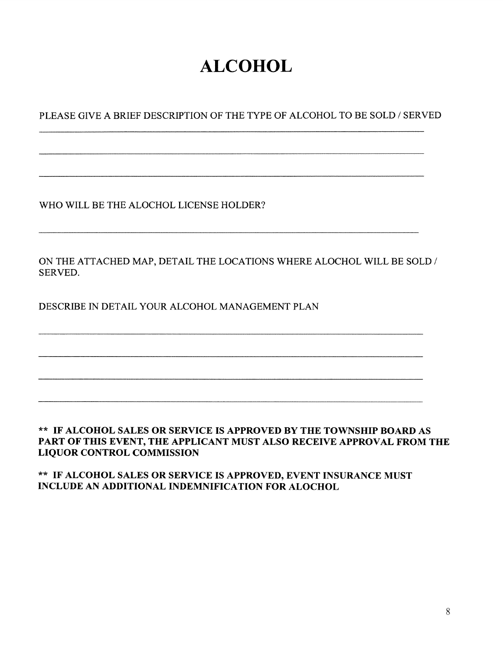# **ALCOHOL**

PLEASE GIVE A BRIEF DESCRIPTION OF THE TYPE OF ALCOHOL TO BE SOLD / SERVED

WHO WILL BE THE ALOCHOL LICENSE HOLDER?

ON THE ATTACHED MAP, DETAIL THE LOCATIONS WHERE ALOCHOL WILL BE SOLD / SERVED.

DESCRIBE IN DETAIL YOUR ALCOHOL MANAGEMENT PLAN

#### \*\* IF ALCOHOL SALES OR SERVICE IS APPROVED BY THE TOWNSHIP BOARD AS PART OF THIS EVENT, THE APPLICANT MUST ALSO RECEIVE APPROVAL FROM THE **LIQUOR CONTROL COMMISSION**

\*\* IF ALCOHOL SALES OR SERVICE IS APPROVED, EVENT INSURANCE MUST **INCLUDE AN ADDITIONAL INDEMNIFICATION FOR ALOCHOL**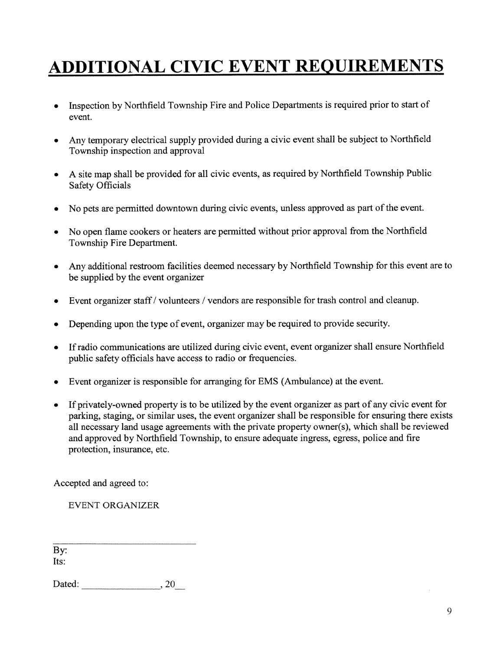# **ADDITIONAL CIVIC EVENT REQUIREMENTS**

- Inspection by Northfield Township Fire and Police Departments is required prior to start of event.
- Any temporary electrical supply provided during a civic event shall be subject to Northfield Township inspection and approval
- A site map shall be provided for all civic events, as required by Northfield Township Public **Safety Officials**
- No pets are permitted downtown during civic events, unless approved as part of the event.
- No open flame cookers or heaters are permitted without prior approval from the Northfield  $\bullet$ Township Fire Department.
- Any additional restroom facilities deemed necessary by Northfield Township for this event are to be supplied by the event organizer
- Event organizer staff / volunteers / vendors are responsible for trash control and cleanup.
- Depending upon the type of event, organizer may be required to provide security.
- If radio communications are utilized during civic event, event organizer shall ensure Northfield  $\bullet$ public safety officials have access to radio or frequencies.
- Event organizer is responsible for arranging for EMS (Ambulance) at the event.  $\bullet$
- If privately-owned property is to be utilized by the event organizer as part of any civic event for  $\bullet$ parking, staging, or similar uses, the event organizer shall be responsible for ensuring there exists all necessary land usage agreements with the private property owner(s), which shall be reviewed and approved by Northfield Township, to ensure adequate ingress, egress, police and fire protection, insurance, etc.

Accepted and agreed to:

**EVENT ORGANIZER** 

By: Its:

Dated:  $20$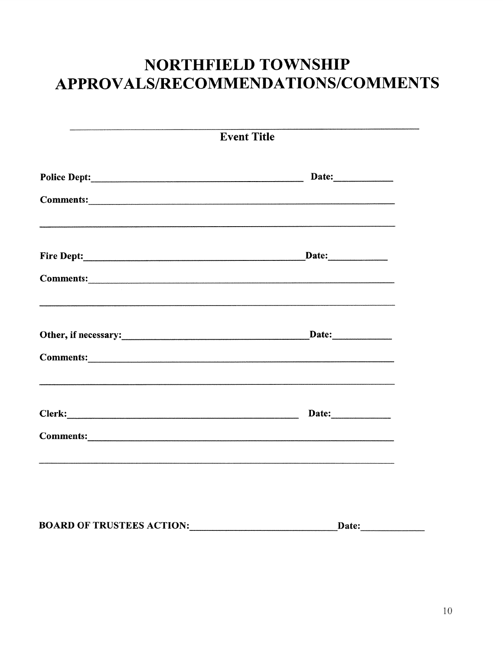### NORTHFIELD TOWNSHIP APPROVALS/RECOMMENDATIONS/COMMENTS

|                                  | <b>Event Title</b> |
|----------------------------------|--------------------|
|                                  |                    |
|                                  |                    |
|                                  | Date:              |
|                                  |                    |
|                                  |                    |
|                                  |                    |
|                                  |                    |
|                                  |                    |
|                                  |                    |
| <b>BOARD OF TRUSTEES ACTION:</b> | Date:              |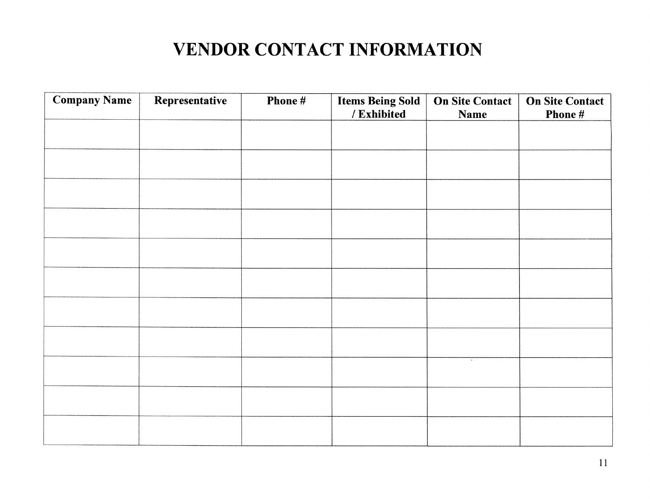# **VENDOR CONTACT INFORMATION**

| <b>Company Name</b> | Representative | Phone # | <b>Items Being Sold</b><br>/ Exhibited | <b>On Site Contact</b><br><b>Name</b> | <b>On Site Contact</b><br>Phone # |
|---------------------|----------------|---------|----------------------------------------|---------------------------------------|-----------------------------------|
|                     |                |         |                                        |                                       |                                   |
|                     |                |         |                                        |                                       |                                   |
|                     |                |         |                                        |                                       |                                   |
|                     |                |         |                                        |                                       |                                   |
|                     |                |         |                                        |                                       |                                   |
|                     |                |         |                                        |                                       |                                   |
|                     |                |         |                                        |                                       |                                   |
|                     |                |         |                                        |                                       |                                   |
|                     |                |         |                                        | $\sim$                                |                                   |
|                     |                |         |                                        |                                       |                                   |
|                     |                |         |                                        |                                       |                                   |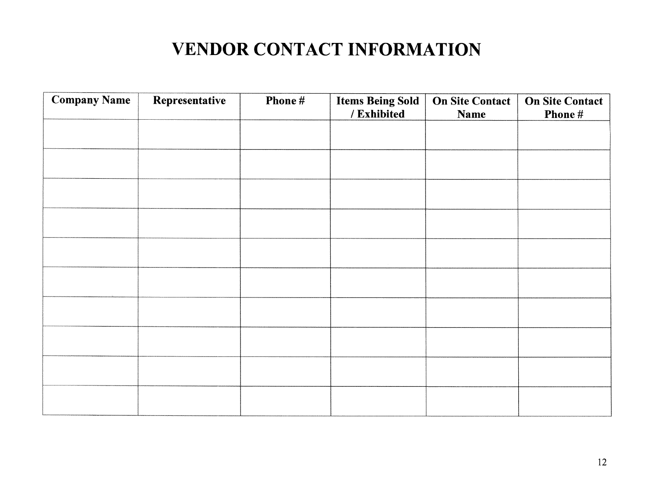## **VENDOR CONTACT INFORMATION**

| <b>Company Name</b> | Representative | Phone # | <b>Items Being Sold</b><br>/ Exhibited | <b>On Site Contact</b><br><b>Name</b> | <b>On Site Contact</b><br>Phone # |
|---------------------|----------------|---------|----------------------------------------|---------------------------------------|-----------------------------------|
|                     |                |         |                                        |                                       |                                   |
|                     |                |         |                                        |                                       |                                   |
|                     |                |         |                                        |                                       |                                   |
|                     |                |         |                                        |                                       |                                   |
|                     |                |         |                                        |                                       |                                   |
|                     |                |         |                                        |                                       |                                   |
|                     |                |         |                                        |                                       |                                   |
|                     |                |         |                                        |                                       |                                   |
|                     |                |         |                                        |                                       |                                   |
|                     |                |         |                                        |                                       |                                   |
|                     |                |         |                                        |                                       |                                   |
|                     |                |         |                                        |                                       |                                   |